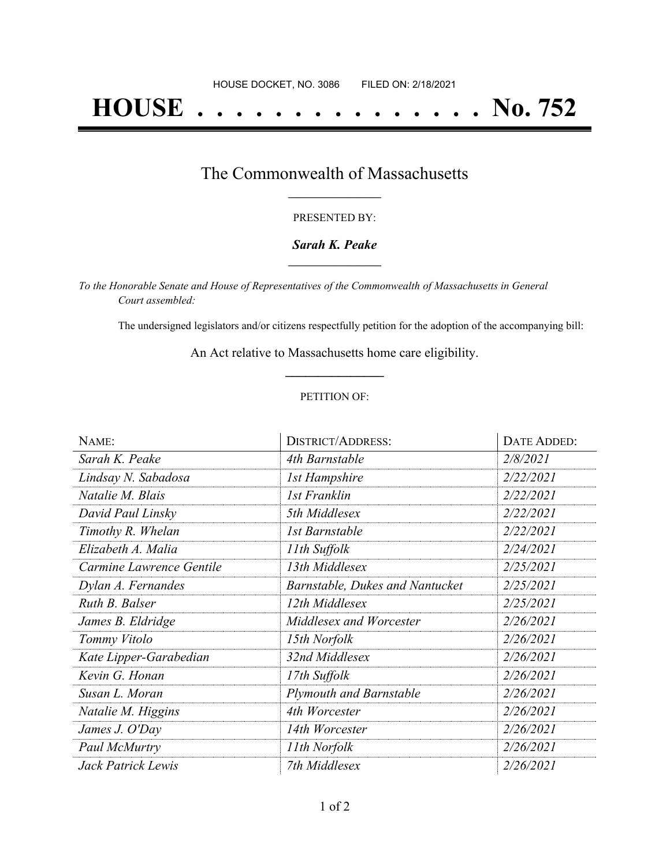# **HOUSE . . . . . . . . . . . . . . . No. 752**

## The Commonwealth of Massachusetts **\_\_\_\_\_\_\_\_\_\_\_\_\_\_\_\_\_**

#### PRESENTED BY:

#### *Sarah K. Peake* **\_\_\_\_\_\_\_\_\_\_\_\_\_\_\_\_\_**

*To the Honorable Senate and House of Representatives of the Commonwealth of Massachusetts in General Court assembled:*

The undersigned legislators and/or citizens respectfully petition for the adoption of the accompanying bill:

An Act relative to Massachusetts home care eligibility. **\_\_\_\_\_\_\_\_\_\_\_\_\_\_\_**

#### PETITION OF:

| NAME:                    | <b>DISTRICT/ADDRESS:</b>               | DATE ADDED: |
|--------------------------|----------------------------------------|-------------|
| Sarah K. Peake           | 4th Barnstable                         | 2/8/2021    |
| Lindsay N. Sabadosa      | <b>1st Hampshire</b>                   | 2/22/2021   |
| Natalie M. Blais         | 1st Franklin                           | 2/22/2021   |
| David Paul Linsky        | 5th Middlesex                          | 2/22/2021   |
| Timothy R. Whelan        | 1st Barnstable                         | 2/22/2021   |
| Elizabeth A. Malia       | 11th Suffolk                           | 2/24/2021   |
| Carmine Lawrence Gentile | 13th Middlesex                         | 2/25/2021   |
| Dylan A. Fernandes       | <b>Barnstable, Dukes and Nantucket</b> | 2/25/2021   |
| Ruth B. Balser           | 12th Middlesex                         | 2/25/2021   |
| James B. Eldridge        | Middlesex and Worcester                | 2/26/2021   |
| Tommy Vitolo             | 15th Norfolk                           | 2/26/2021   |
| Kate Lipper-Garabedian   | 32nd Middlesex                         | 2/26/2021   |
| Kevin G. Honan           | 17th Suffolk                           | 2/26/2021   |
| Susan L. Moran           | <b>Plymouth and Barnstable</b>         | 2/26/2021   |
| Natalie M. Higgins       | 4th Worcester                          | 2/26/2021   |
| James J. O'Day           | 14th Worcester                         | 2/26/2021   |
| Paul McMurtry            | 11th Norfolk                           | 2/26/2021   |
| Jack Patrick Lewis       | 7th Middlesex                          | 2/26/2021   |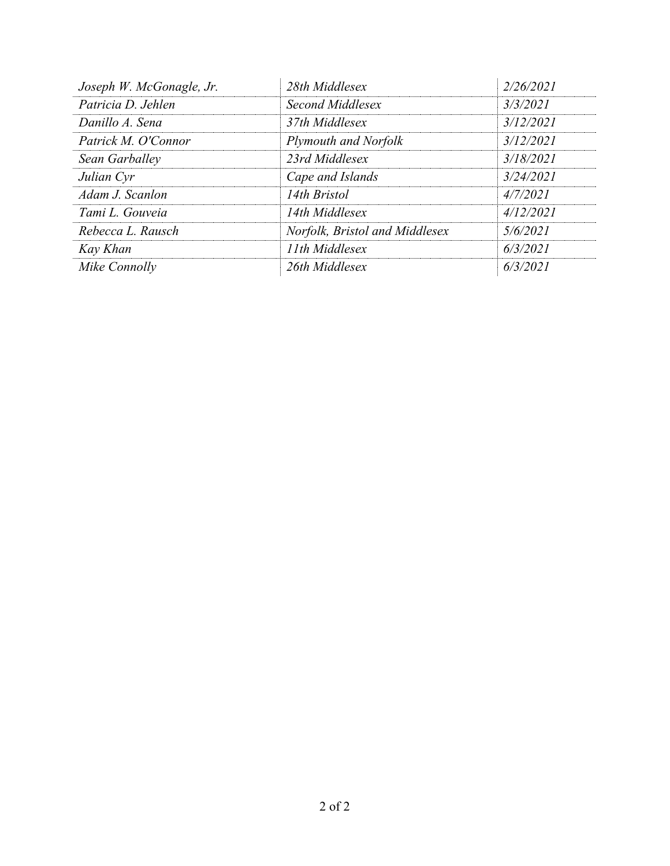| Joseph W. McGonagle, Jr. | 28th Middlesex                 | 2/26/2021 |
|--------------------------|--------------------------------|-----------|
| Patricia D. Jehlen       | Second Middlesex               | 3/3/2021  |
| Danillo A. Sena          | 37th Middlesex                 | 3/12/2021 |
| Patrick M. O'Connor      | Plymouth and Norfolk           | 3/12/2021 |
| Sean Garballey           | 23rd Middlesex                 | 3/18/2021 |
| Julian Cyr               | Cape and Islands               | 3/24/2021 |
| Adam J. Scanlon          | 14th Bristol                   | 4/7/2021  |
| Tami L. Gouveia          | 14th Middlesex                 | 4/12/2021 |
| Rebecca L. Rausch        | Norfolk, Bristol and Middlesex | 5/6/2021  |
| Kay Khan                 | 11th Middlesex                 | 6/3/2021  |
| Mike Connolly            | 26th Middlesex                 | 6/3/2021  |